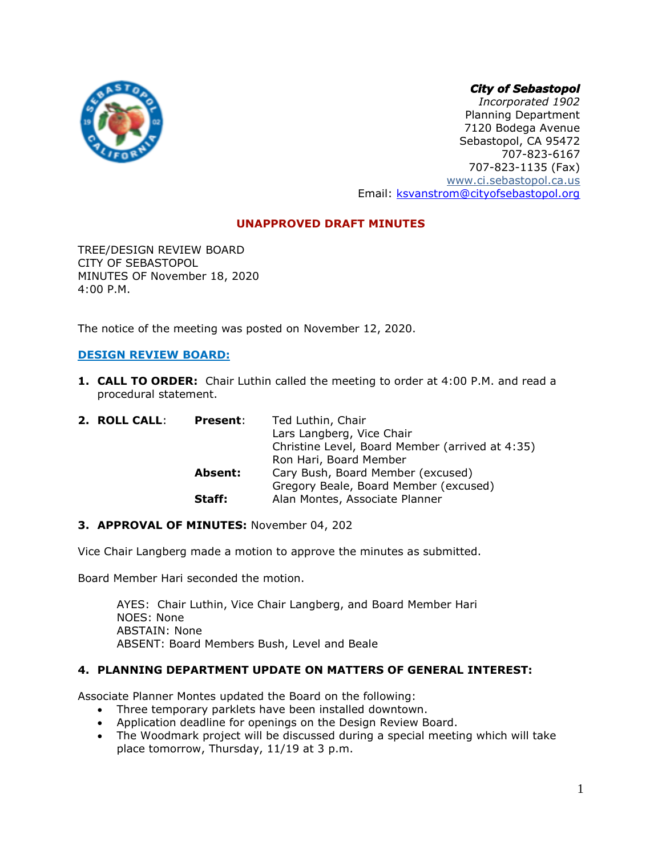# *City of Sebastopol*



*Incorporated 1902* Planning Department 7120 Bodega Avenue Sebastopol, CA 95472 707-823-6167 707-823-1135 (Fax) [www.ci.sebastopol.ca.us](http://www.ci.sebastopol.ca.us/) Email: [ksvanstrom@cityofsebastopol.org](mailto:ksvanstrom@cityofsebastopol.org)

# **UNAPPROVED DRAFT MINUTES**

TREE/DESIGN REVIEW BOARD CITY OF SEBASTOPOL MINUTES OF November 18, 2020 4:00 P.M.

The notice of the meeting was posted on November 12, 2020.

## **DESIGN REVIEW BOARD:**

**1. CALL TO ORDER:** Chair Luthin called the meeting to order at 4:00 P.M. and read a procedural statement.

| 2. ROLL CALL: | <b>Present:</b> | Ted Luthin, Chair                               |
|---------------|-----------------|-------------------------------------------------|
|               |                 | Lars Langberg, Vice Chair                       |
|               |                 | Christine Level, Board Member (arrived at 4:35) |
|               |                 | Ron Hari, Board Member                          |
|               | Absent:         | Cary Bush, Board Member (excused)               |
|               |                 | Gregory Beale, Board Member (excused)           |
|               | Staff:          | Alan Montes, Associate Planner                  |

## **3. APPROVAL OF MINUTES:** November 04, 202

Vice Chair Langberg made a motion to approve the minutes as submitted.

Board Member Hari seconded the motion.

AYES: Chair Luthin, Vice Chair Langberg, and Board Member Hari NOES: None ABSTAIN: None ABSENT: Board Members Bush, Level and Beale

### **4. PLANNING DEPARTMENT UPDATE ON MATTERS OF GENERAL INTEREST:**

Associate Planner Montes updated the Board on the following:

- Three temporary parklets have been installed downtown.
- Application deadline for openings on the Design Review Board.
- The Woodmark project will be discussed during a special meeting which will take place tomorrow, Thursday, 11/19 at 3 p.m.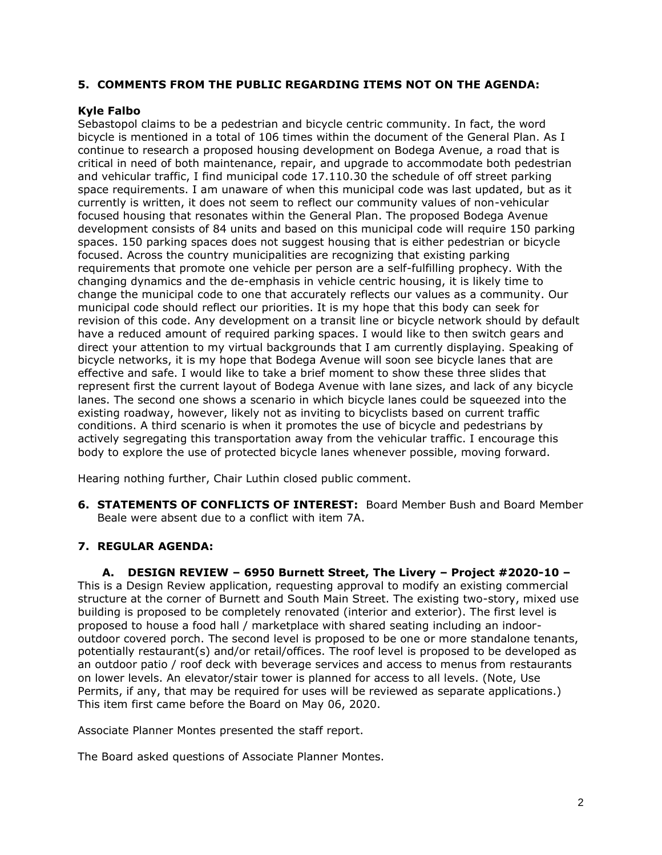## **5. COMMENTS FROM THE PUBLIC REGARDING ITEMS NOT ON THE AGENDA:**

# **Kyle Falbo**

Sebastopol claims to be a pedestrian and bicycle centric community. In fact, the word bicycle is mentioned in a total of 106 times within the document of the General Plan. As I continue to research a proposed housing development on Bodega Avenue, a road that is critical in need of both maintenance, repair, and upgrade to accommodate both pedestrian and vehicular traffic, I find municipal code 17.110.30 the schedule of off street parking space requirements. I am unaware of when this municipal code was last updated, but as it currently is written, it does not seem to reflect our community values of non-vehicular focused housing that resonates within the General Plan. The proposed Bodega Avenue development consists of 84 units and based on this municipal code will require 150 parking spaces. 150 parking spaces does not suggest housing that is either pedestrian or bicycle focused. Across the country municipalities are recognizing that existing parking requirements that promote one vehicle per person are a self-fulfilling prophecy. With the changing dynamics and the de-emphasis in vehicle centric housing, it is likely time to change the municipal code to one that accurately reflects our values as a community. Our municipal code should reflect our priorities. It is my hope that this body can seek for revision of this code. Any development on a transit line or bicycle network should by default have a reduced amount of required parking spaces. I would like to then switch gears and direct your attention to my virtual backgrounds that I am currently displaying. Speaking of bicycle networks, it is my hope that Bodega Avenue will soon see bicycle lanes that are effective and safe. I would like to take a brief moment to show these three slides that represent first the current layout of Bodega Avenue with lane sizes, and lack of any bicycle lanes. The second one shows a scenario in which bicycle lanes could be squeezed into the existing roadway, however, likely not as inviting to bicyclists based on current traffic conditions. A third scenario is when it promotes the use of bicycle and pedestrians by actively segregating this transportation away from the vehicular traffic. I encourage this body to explore the use of protected bicycle lanes whenever possible, moving forward.

Hearing nothing further, Chair Luthin closed public comment.

**6. STATEMENTS OF CONFLICTS OF INTEREST:** Board Member Bush and Board Member Beale were absent due to a conflict with item 7A.

# **7. REGULAR AGENDA:**

**A. DESIGN REVIEW – 6950 Burnett Street, The Livery – Project #2020-10 –** This is a Design Review application, requesting approval to modify an existing commercial structure at the corner of Burnett and South Main Street. The existing two-story, mixed use building is proposed to be completely renovated (interior and exterior). The first level is proposed to house a food hall / marketplace with shared seating including an indooroutdoor covered porch. The second level is proposed to be one or more standalone tenants, potentially restaurant(s) and/or retail/offices. The roof level is proposed to be developed as an outdoor patio / roof deck with beverage services and access to menus from restaurants on lower levels. An elevator/stair tower is planned for access to all levels. (Note, Use Permits, if any, that may be required for uses will be reviewed as separate applications.) This item first came before the Board on May 06, 2020.

Associate Planner Montes presented the staff report.

The Board asked questions of Associate Planner Montes.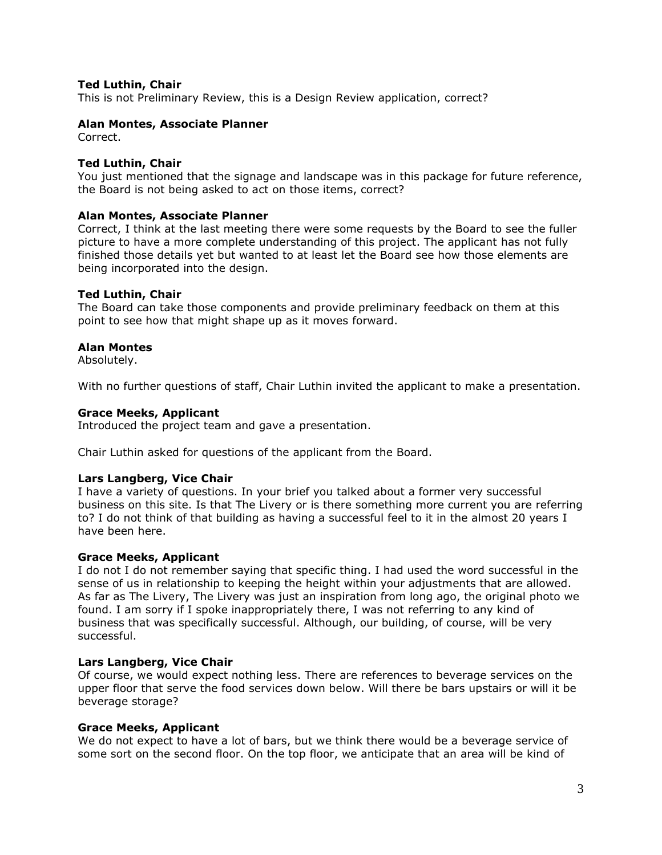## **Ted Luthin, Chair**

This is not Preliminary Review, this is a Design Review application, correct?

## **Alan Montes, Associate Planner**

Correct.

### **Ted Luthin, Chair**

You just mentioned that the signage and landscape was in this package for future reference, the Board is not being asked to act on those items, correct?

### **Alan Montes, Associate Planner**

Correct, I think at the last meeting there were some requests by the Board to see the fuller picture to have a more complete understanding of this project. The applicant has not fully finished those details yet but wanted to at least let the Board see how those elements are being incorporated into the design.

## **Ted Luthin, Chair**

The Board can take those components and provide preliminary feedback on them at this point to see how that might shape up as it moves forward.

## **Alan Montes**

Absolutely.

With no further questions of staff, Chair Luthin invited the applicant to make a presentation.

### **Grace Meeks, Applicant**

Introduced the project team and gave a presentation.

Chair Luthin asked for questions of the applicant from the Board.

### **Lars Langberg, Vice Chair**

I have a variety of questions. In your brief you talked about a former very successful business on this site. Is that The Livery or is there something more current you are referring to? I do not think of that building as having a successful feel to it in the almost 20 years I have been here.

### **Grace Meeks, Applicant**

I do not I do not remember saying that specific thing. I had used the word successful in the sense of us in relationship to keeping the height within your adjustments that are allowed. As far as The Livery, The Livery was just an inspiration from long ago, the original photo we found. I am sorry if I spoke inappropriately there, I was not referring to any kind of business that was specifically successful. Although, our building, of course, will be very successful.

### **Lars Langberg, Vice Chair**

Of course, we would expect nothing less. There are references to beverage services on the upper floor that serve the food services down below. Will there be bars upstairs or will it be beverage storage?

### **Grace Meeks, Applicant**

We do not expect to have a lot of bars, but we think there would be a beverage service of some sort on the second floor. On the top floor, we anticipate that an area will be kind of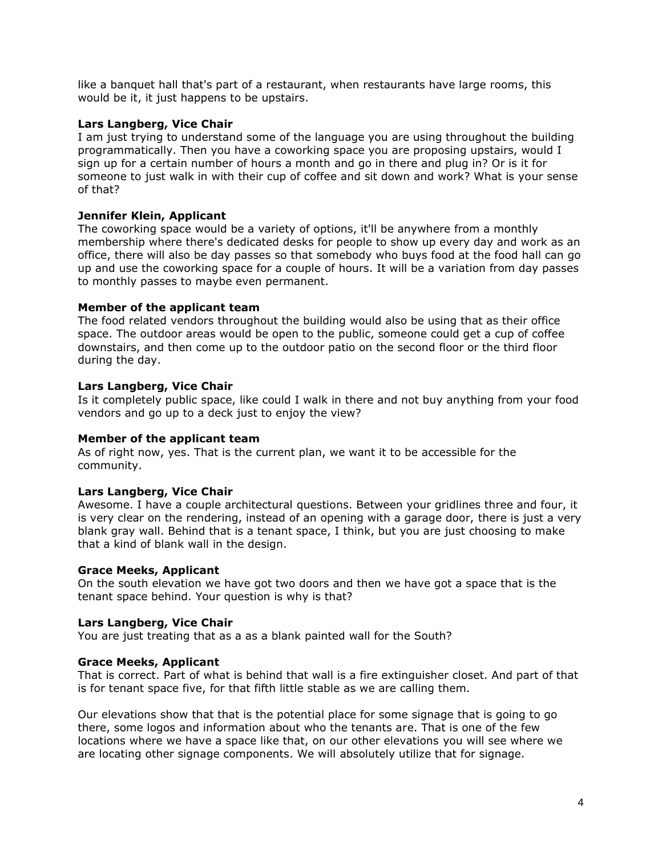like a banquet hall that's part of a restaurant, when restaurants have large rooms, this would be it, it just happens to be upstairs.

## **Lars Langberg, Vice Chair**

I am just trying to understand some of the language you are using throughout the building programmatically. Then you have a coworking space you are proposing upstairs, would I sign up for a certain number of hours a month and go in there and plug in? Or is it for someone to just walk in with their cup of coffee and sit down and work? What is your sense of that?

# **Jennifer Klein, Applicant**

The coworking space would be a variety of options, it'll be anywhere from a monthly membership where there's dedicated desks for people to show up every day and work as an office, there will also be day passes so that somebody who buys food at the food hall can go up and use the coworking space for a couple of hours. It will be a variation from day passes to monthly passes to maybe even permanent.

## **Member of the applicant team**

The food related vendors throughout the building would also be using that as their office space. The outdoor areas would be open to the public, someone could get a cup of coffee downstairs, and then come up to the outdoor patio on the second floor or the third floor during the day.

# **Lars Langberg, Vice Chair**

Is it completely public space, like could I walk in there and not buy anything from your food vendors and go up to a deck just to enjoy the view?

## **Member of the applicant team**

As of right now, yes. That is the current plan, we want it to be accessible for the community.

## **Lars Langberg, Vice Chair**

Awesome. I have a couple architectural questions. Between your gridlines three and four, it is very clear on the rendering, instead of an opening with a garage door, there is just a very blank gray wall. Behind that is a tenant space, I think, but you are just choosing to make that a kind of blank wall in the design.

## **Grace Meeks, Applicant**

On the south elevation we have got two doors and then we have got a space that is the tenant space behind. Your question is why is that?

## **Lars Langberg, Vice Chair**

You are just treating that as a as a blank painted wall for the South?

## **Grace Meeks, Applicant**

That is correct. Part of what is behind that wall is a fire extinguisher closet. And part of that is for tenant space five, for that fifth little stable as we are calling them.

Our elevations show that that is the potential place for some signage that is going to go there, some logos and information about who the tenants are. That is one of the few locations where we have a space like that, on our other elevations you will see where we are locating other signage components. We will absolutely utilize that for signage.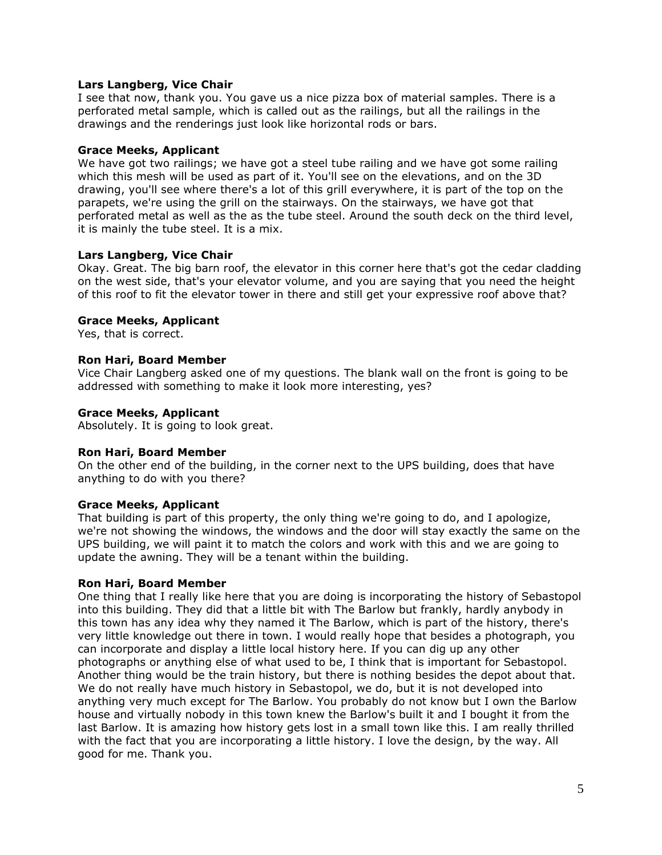## **Lars Langberg, Vice Chair**

I see that now, thank you. You gave us a nice pizza box of material samples. There is a perforated metal sample, which is called out as the railings, but all the railings in the drawings and the renderings just look like horizontal rods or bars.

### **Grace Meeks, Applicant**

We have got two railings; we have got a steel tube railing and we have got some railing which this mesh will be used as part of it. You'll see on the elevations, and on the 3D drawing, you'll see where there's a lot of this grill everywhere, it is part of the top on the parapets, we're using the grill on the stairways. On the stairways, we have got that perforated metal as well as the as the tube steel. Around the south deck on the third level, it is mainly the tube steel. It is a mix.

## **Lars Langberg, Vice Chair**

Okay. Great. The big barn roof, the elevator in this corner here that's got the cedar cladding on the west side, that's your elevator volume, and you are saying that you need the height of this roof to fit the elevator tower in there and still get your expressive roof above that?

## **Grace Meeks, Applicant**

Yes, that is correct.

## **Ron Hari, Board Member**

Vice Chair Langberg asked one of my questions. The blank wall on the front is going to be addressed with something to make it look more interesting, yes?

## **Grace Meeks, Applicant**

Absolutely. It is going to look great.

## **Ron Hari, Board Member**

On the other end of the building, in the corner next to the UPS building, does that have anything to do with you there?

## **Grace Meeks, Applicant**

That building is part of this property, the only thing we're going to do, and I apologize, we're not showing the windows, the windows and the door will stay exactly the same on the UPS building, we will paint it to match the colors and work with this and we are going to update the awning. They will be a tenant within the building.

### **Ron Hari, Board Member**

One thing that I really like here that you are doing is incorporating the history of Sebastopol into this building. They did that a little bit with The Barlow but frankly, hardly anybody in this town has any idea why they named it The Barlow, which is part of the history, there's very little knowledge out there in town. I would really hope that besides a photograph, you can incorporate and display a little local history here. If you can dig up any other photographs or anything else of what used to be, I think that is important for Sebastopol. Another thing would be the train history, but there is nothing besides the depot about that. We do not really have much history in Sebastopol, we do, but it is not developed into anything very much except for The Barlow. You probably do not know but I own the Barlow house and virtually nobody in this town knew the Barlow's built it and I bought it from the last Barlow. It is amazing how history gets lost in a small town like this. I am really thrilled with the fact that you are incorporating a little history. I love the design, by the way. All good for me. Thank you.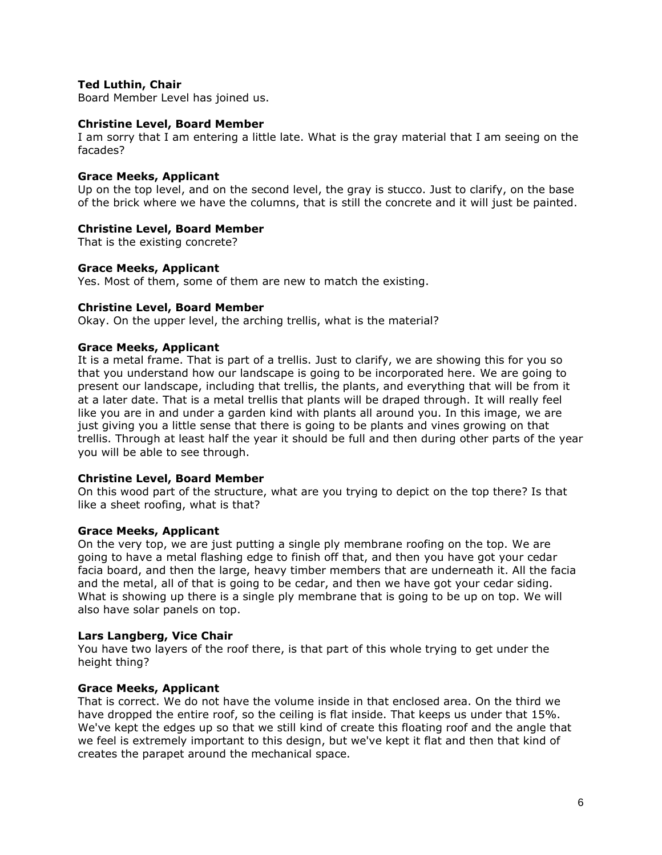## **Ted Luthin, Chair**

Board Member Level has joined us.

## **Christine Level, Board Member**

I am sorry that I am entering a little late. What is the gray material that I am seeing on the facades?

## **Grace Meeks, Applicant**

Up on the top level, and on the second level, the gray is stucco. Just to clarify, on the base of the brick where we have the columns, that is still the concrete and it will just be painted.

## **Christine Level, Board Member**

That is the existing concrete?

### **Grace Meeks, Applicant**

Yes. Most of them, some of them are new to match the existing.

## **Christine Level, Board Member**

Okay. On the upper level, the arching trellis, what is the material?

## **Grace Meeks, Applicant**

It is a metal frame. That is part of a trellis. Just to clarify, we are showing this for you so that you understand how our landscape is going to be incorporated here. We are going to present our landscape, including that trellis, the plants, and everything that will be from it at a later date. That is a metal trellis that plants will be draped through. It will really feel like you are in and under a garden kind with plants all around you. In this image, we are just giving you a little sense that there is going to be plants and vines growing on that trellis. Through at least half the year it should be full and then during other parts of the year you will be able to see through.

### **Christine Level, Board Member**

On this wood part of the structure, what are you trying to depict on the top there? Is that like a sheet roofing, what is that?

### **Grace Meeks, Applicant**

On the very top, we are just putting a single ply membrane roofing on the top. We are going to have a metal flashing edge to finish off that, and then you have got your cedar facia board, and then the large, heavy timber members that are underneath it. All the facia and the metal, all of that is going to be cedar, and then we have got your cedar siding. What is showing up there is a single ply membrane that is going to be up on top. We will also have solar panels on top.

## **Lars Langberg, Vice Chair**

You have two layers of the roof there, is that part of this whole trying to get under the height thing?

## **Grace Meeks, Applicant**

That is correct. We do not have the volume inside in that enclosed area. On the third we have dropped the entire roof, so the ceiling is flat inside. That keeps us under that 15%. We've kept the edges up so that we still kind of create this floating roof and the angle that we feel is extremely important to this design, but we've kept it flat and then that kind of creates the parapet around the mechanical space.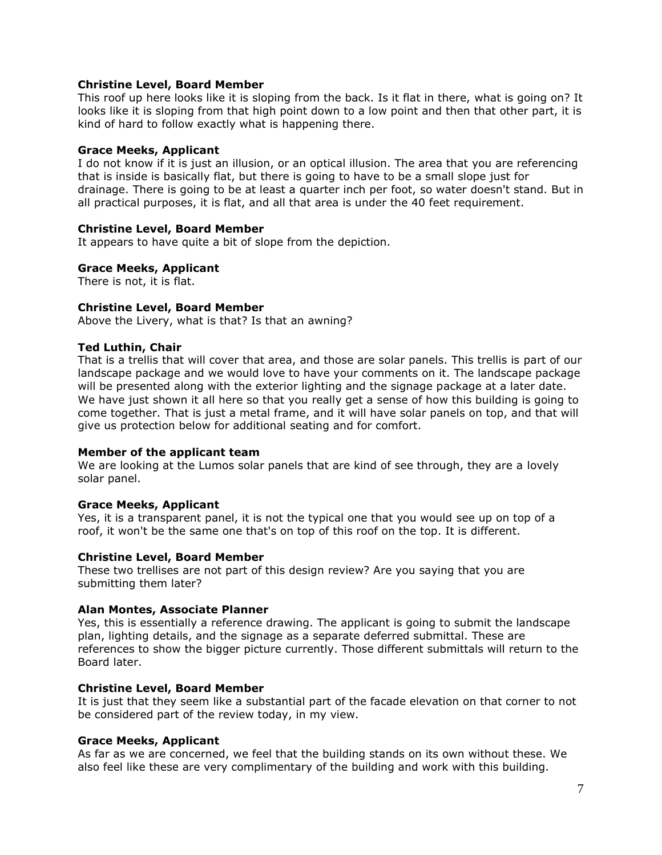## **Christine Level, Board Member**

This roof up here looks like it is sloping from the back. Is it flat in there, what is going on? It looks like it is sloping from that high point down to a low point and then that other part, it is kind of hard to follow exactly what is happening there.

### **Grace Meeks, Applicant**

I do not know if it is just an illusion, or an optical illusion. The area that you are referencing that is inside is basically flat, but there is going to have to be a small slope just for drainage. There is going to be at least a quarter inch per foot, so water doesn't stand. But in all practical purposes, it is flat, and all that area is under the 40 feet requirement.

## **Christine Level, Board Member**

It appears to have quite a bit of slope from the depiction.

## **Grace Meeks, Applicant**

There is not, it is flat.

## **Christine Level, Board Member**

Above the Livery, what is that? Is that an awning?

## **Ted Luthin, Chair**

That is a trellis that will cover that area, and those are solar panels. This trellis is part of our landscape package and we would love to have your comments on it. The landscape package will be presented along with the exterior lighting and the signage package at a later date. We have just shown it all here so that you really get a sense of how this building is going to come together. That is just a metal frame, and it will have solar panels on top, and that will give us protection below for additional seating and for comfort.

### **Member of the applicant team**

We are looking at the Lumos solar panels that are kind of see through, they are a lovely solar panel.

### **Grace Meeks, Applicant**

Yes, it is a transparent panel, it is not the typical one that you would see up on top of a roof, it won't be the same one that's on top of this roof on the top. It is different.

### **Christine Level, Board Member**

These two trellises are not part of this design review? Are you saying that you are submitting them later?

### **Alan Montes, Associate Planner**

Yes, this is essentially a reference drawing. The applicant is going to submit the landscape plan, lighting details, and the signage as a separate deferred submittal. These are references to show the bigger picture currently. Those different submittals will return to the Board later.

## **Christine Level, Board Member**

It is just that they seem like a substantial part of the facade elevation on that corner to not be considered part of the review today, in my view.

### **Grace Meeks, Applicant**

As far as we are concerned, we feel that the building stands on its own without these. We also feel like these are very complimentary of the building and work with this building.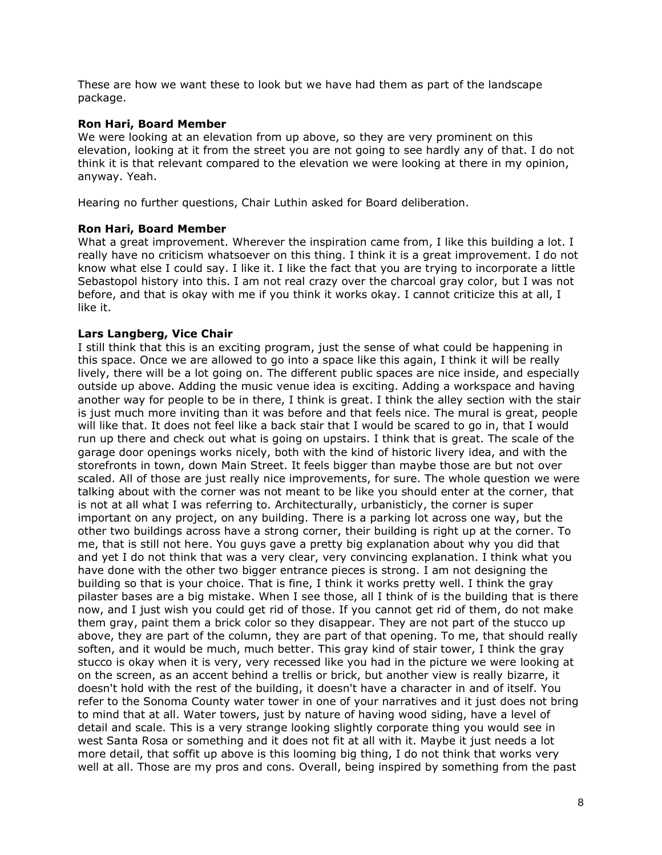These are how we want these to look but we have had them as part of the landscape package.

## **Ron Hari, Board Member**

We were looking at an elevation from up above, so they are very prominent on this elevation, looking at it from the street you are not going to see hardly any of that. I do not think it is that relevant compared to the elevation we were looking at there in my opinion, anyway. Yeah.

Hearing no further questions, Chair Luthin asked for Board deliberation.

## **Ron Hari, Board Member**

What a great improvement. Wherever the inspiration came from, I like this building a lot. I really have no criticism whatsoever on this thing. I think it is a great improvement. I do not know what else I could say. I like it. I like the fact that you are trying to incorporate a little Sebastopol history into this. I am not real crazy over the charcoal gray color, but I was not before, and that is okay with me if you think it works okay. I cannot criticize this at all, I like it.

## **Lars Langberg, Vice Chair**

I still think that this is an exciting program, just the sense of what could be happening in this space. Once we are allowed to go into a space like this again, I think it will be really lively, there will be a lot going on. The different public spaces are nice inside, and especially outside up above. Adding the music venue idea is exciting. Adding a workspace and having another way for people to be in there, I think is great. I think the alley section with the stair is just much more inviting than it was before and that feels nice. The mural is great, people will like that. It does not feel like a back stair that I would be scared to go in, that I would run up there and check out what is going on upstairs. I think that is great. The scale of the garage door openings works nicely, both with the kind of historic livery idea, and with the storefronts in town, down Main Street. It feels bigger than maybe those are but not over scaled. All of those are just really nice improvements, for sure. The whole question we were talking about with the corner was not meant to be like you should enter at the corner, that is not at all what I was referring to. Architecturally, urbanisticly, the corner is super important on any project, on any building. There is a parking lot across one way, but the other two buildings across have a strong corner, their building is right up at the corner. To me, that is still not here. You guys gave a pretty big explanation about why you did that and yet I do not think that was a very clear, very convincing explanation. I think what you have done with the other two bigger entrance pieces is strong. I am not designing the building so that is your choice. That is fine, I think it works pretty well. I think the gray pilaster bases are a big mistake. When I see those, all I think of is the building that is there now, and I just wish you could get rid of those. If you cannot get rid of them, do not make them gray, paint them a brick color so they disappear. They are not part of the stucco up above, they are part of the column, they are part of that opening. To me, that should really soften, and it would be much, much better. This gray kind of stair tower, I think the gray stucco is okay when it is very, very recessed like you had in the picture we were looking at on the screen, as an accent behind a trellis or brick, but another view is really bizarre, it doesn't hold with the rest of the building, it doesn't have a character in and of itself. You refer to the Sonoma County water tower in one of your narratives and it just does not bring to mind that at all. Water towers, just by nature of having wood siding, have a level of detail and scale. This is a very strange looking slightly corporate thing you would see in west Santa Rosa or something and it does not fit at all with it. Maybe it just needs a lot more detail, that soffit up above is this looming big thing, I do not think that works very well at all. Those are my pros and cons. Overall, being inspired by something from the past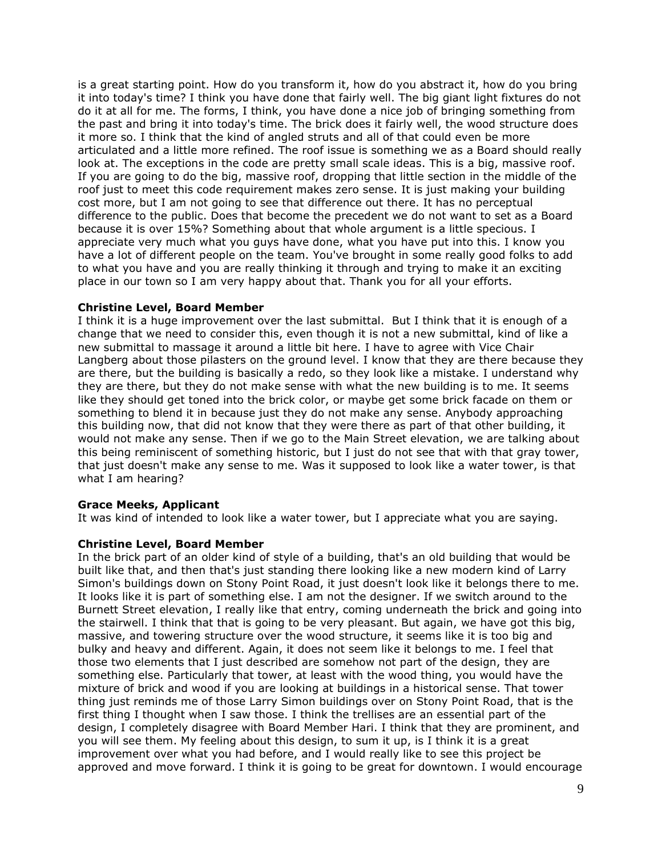is a great starting point. How do you transform it, how do you abstract it, how do you bring it into today's time? I think you have done that fairly well. The big giant light fixtures do not do it at all for me. The forms, I think, you have done a nice job of bringing something from the past and bring it into today's time. The brick does it fairly well, the wood structure does it more so. I think that the kind of angled struts and all of that could even be more articulated and a little more refined. The roof issue is something we as a Board should really look at. The exceptions in the code are pretty small scale ideas. This is a big, massive roof. If you are going to do the big, massive roof, dropping that little section in the middle of the roof just to meet this code requirement makes zero sense. It is just making your building cost more, but I am not going to see that difference out there. It has no perceptual difference to the public. Does that become the precedent we do not want to set as a Board because it is over 15%? Something about that whole argument is a little specious. I appreciate very much what you guys have done, what you have put into this. I know you have a lot of different people on the team. You've brought in some really good folks to add to what you have and you are really thinking it through and trying to make it an exciting place in our town so I am very happy about that. Thank you for all your efforts.

### **Christine Level, Board Member**

I think it is a huge improvement over the last submittal. But I think that it is enough of a change that we need to consider this, even though it is not a new submittal, kind of like a new submittal to massage it around a little bit here. I have to agree with Vice Chair Langberg about those pilasters on the ground level. I know that they are there because they are there, but the building is basically a redo, so they look like a mistake. I understand why they are there, but they do not make sense with what the new building is to me. It seems like they should get toned into the brick color, or maybe get some brick facade on them or something to blend it in because just they do not make any sense. Anybody approaching this building now, that did not know that they were there as part of that other building, it would not make any sense. Then if we go to the Main Street elevation, we are talking about this being reminiscent of something historic, but I just do not see that with that gray tower, that just doesn't make any sense to me. Was it supposed to look like a water tower, is that what I am hearing?

## **Grace Meeks, Applicant**

It was kind of intended to look like a water tower, but I appreciate what you are saying.

## **Christine Level, Board Member**

In the brick part of an older kind of style of a building, that's an old building that would be built like that, and then that's just standing there looking like a new modern kind of Larry Simon's buildings down on Stony Point Road, it just doesn't look like it belongs there to me. It looks like it is part of something else. I am not the designer. If we switch around to the Burnett Street elevation, I really like that entry, coming underneath the brick and going into the stairwell. I think that that is going to be very pleasant. But again, we have got this big, massive, and towering structure over the wood structure, it seems like it is too big and bulky and heavy and different. Again, it does not seem like it belongs to me. I feel that those two elements that I just described are somehow not part of the design, they are something else. Particularly that tower, at least with the wood thing, you would have the mixture of brick and wood if you are looking at buildings in a historical sense. That tower thing just reminds me of those Larry Simon buildings over on Stony Point Road, that is the first thing I thought when I saw those. I think the trellises are an essential part of the design, I completely disagree with Board Member Hari. I think that they are prominent, and you will see them. My feeling about this design, to sum it up, is I think it is a great improvement over what you had before, and I would really like to see this project be approved and move forward. I think it is going to be great for downtown. I would encourage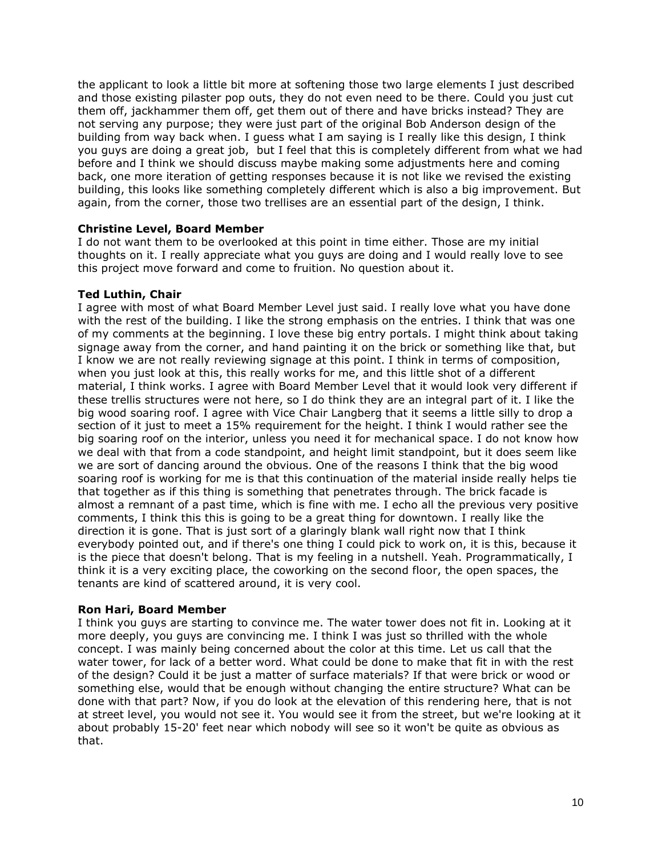the applicant to look a little bit more at softening those two large elements I just described and those existing pilaster pop outs, they do not even need to be there. Could you just cut them off, jackhammer them off, get them out of there and have bricks instead? They are not serving any purpose; they were just part of the original Bob Anderson design of the building from way back when. I guess what I am saying is I really like this design, I think you guys are doing a great job, but I feel that this is completely different from what we had before and I think we should discuss maybe making some adjustments here and coming back, one more iteration of getting responses because it is not like we revised the existing building, this looks like something completely different which is also a big improvement. But again, from the corner, those two trellises are an essential part of the design, I think.

## **Christine Level, Board Member**

I do not want them to be overlooked at this point in time either. Those are my initial thoughts on it. I really appreciate what you guys are doing and I would really love to see this project move forward and come to fruition. No question about it.

## **Ted Luthin, Chair**

I agree with most of what Board Member Level just said. I really love what you have done with the rest of the building. I like the strong emphasis on the entries. I think that was one of my comments at the beginning. I love these big entry portals. I might think about taking signage away from the corner, and hand painting it on the brick or something like that, but I know we are not really reviewing signage at this point. I think in terms of composition, when you just look at this, this really works for me, and this little shot of a different material, I think works. I agree with Board Member Level that it would look very different if these trellis structures were not here, so I do think they are an integral part of it. I like the big wood soaring roof. I agree with Vice Chair Langberg that it seems a little silly to drop a section of it just to meet a 15% requirement for the height. I think I would rather see the big soaring roof on the interior, unless you need it for mechanical space. I do not know how we deal with that from a code standpoint, and height limit standpoint, but it does seem like we are sort of dancing around the obvious. One of the reasons I think that the big wood soaring roof is working for me is that this continuation of the material inside really helps tie that together as if this thing is something that penetrates through. The brick facade is almost a remnant of a past time, which is fine with me. I echo all the previous very positive comments, I think this this is going to be a great thing for downtown. I really like the direction it is gone. That is just sort of a glaringly blank wall right now that I think everybody pointed out, and if there's one thing I could pick to work on, it is this, because it is the piece that doesn't belong. That is my feeling in a nutshell. Yeah. Programmatically, I think it is a very exciting place, the coworking on the second floor, the open spaces, the tenants are kind of scattered around, it is very cool.

### **Ron Hari, Board Member**

I think you guys are starting to convince me. The water tower does not fit in. Looking at it more deeply, you guys are convincing me. I think I was just so thrilled with the whole concept. I was mainly being concerned about the color at this time. Let us call that the water tower, for lack of a better word. What could be done to make that fit in with the rest of the design? Could it be just a matter of surface materials? If that were brick or wood or something else, would that be enough without changing the entire structure? What can be done with that part? Now, if you do look at the elevation of this rendering here, that is not at street level, you would not see it. You would see it from the street, but we're looking at it about probably 15-20' feet near which nobody will see so it won't be quite as obvious as that.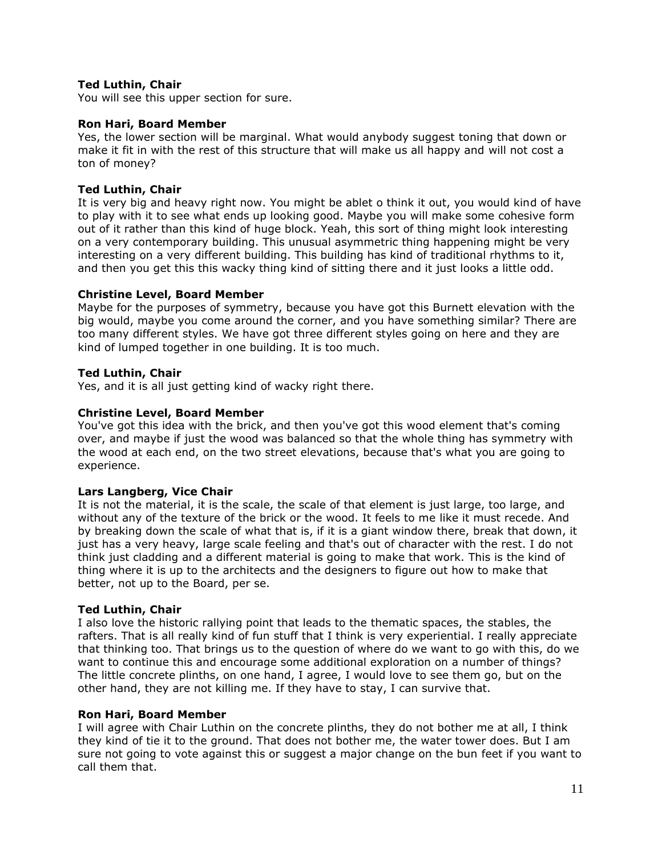## **Ted Luthin, Chair**

You will see this upper section for sure.

## **Ron Hari, Board Member**

Yes, the lower section will be marginal. What would anybody suggest toning that down or make it fit in with the rest of this structure that will make us all happy and will not cost a ton of money?

# **Ted Luthin, Chair**

It is very big and heavy right now. You might be ablet o think it out, you would kind of have to play with it to see what ends up looking good. Maybe you will make some cohesive form out of it rather than this kind of huge block. Yeah, this sort of thing might look interesting on a very contemporary building. This unusual asymmetric thing happening might be very interesting on a very different building. This building has kind of traditional rhythms to it, and then you get this this wacky thing kind of sitting there and it just looks a little odd.

# **Christine Level, Board Member**

Maybe for the purposes of symmetry, because you have got this Burnett elevation with the big would, maybe you come around the corner, and you have something similar? There are too many different styles. We have got three different styles going on here and they are kind of lumped together in one building. It is too much.

# **Ted Luthin, Chair**

Yes, and it is all just getting kind of wacky right there.

# **Christine Level, Board Member**

You've got this idea with the brick, and then you've got this wood element that's coming over, and maybe if just the wood was balanced so that the whole thing has symmetry with the wood at each end, on the two street elevations, because that's what you are going to experience.

## **Lars Langberg, Vice Chair**

It is not the material, it is the scale, the scale of that element is just large, too large, and without any of the texture of the brick or the wood. It feels to me like it must recede. And by breaking down the scale of what that is, if it is a giant window there, break that down, it just has a very heavy, large scale feeling and that's out of character with the rest. I do not think just cladding and a different material is going to make that work. This is the kind of thing where it is up to the architects and the designers to figure out how to make that better, not up to the Board, per se.

## **Ted Luthin, Chair**

I also love the historic rallying point that leads to the thematic spaces, the stables, the rafters. That is all really kind of fun stuff that I think is very experiential. I really appreciate that thinking too. That brings us to the question of where do we want to go with this, do we want to continue this and encourage some additional exploration on a number of things? The little concrete plinths, on one hand, I agree, I would love to see them go, but on the other hand, they are not killing me. If they have to stay, I can survive that.

## **Ron Hari, Board Member**

I will agree with Chair Luthin on the concrete plinths, they do not bother me at all, I think they kind of tie it to the ground. That does not bother me, the water tower does. But I am sure not going to vote against this or suggest a major change on the bun feet if you want to call them that.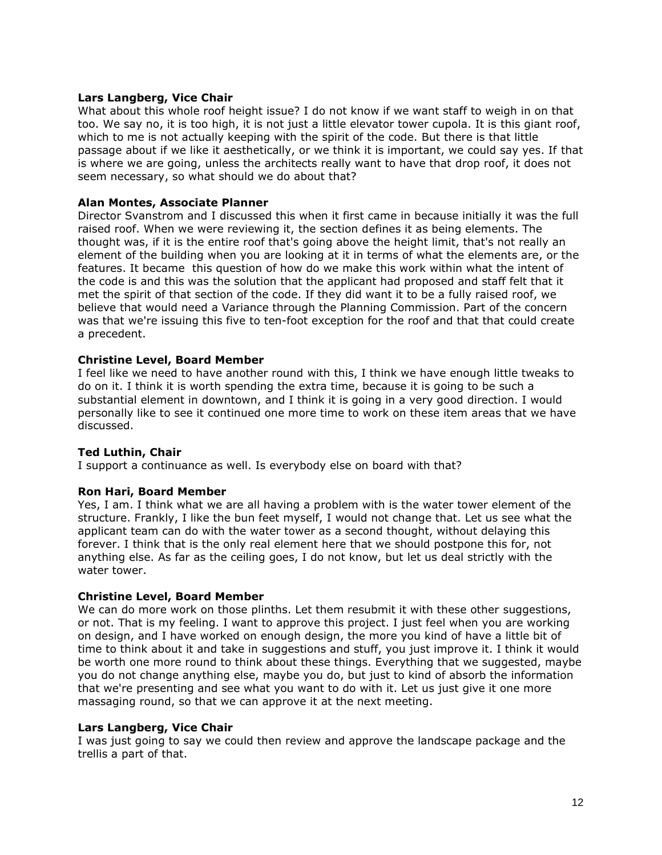## **Lars Langberg, Vice Chair**

What about this whole roof height issue? I do not know if we want staff to weigh in on that too. We say no, it is too high, it is not just a little elevator tower cupola. It is this giant roof, which to me is not actually keeping with the spirit of the code. But there is that little passage about if we like it aesthetically, or we think it is important, we could say yes. If that is where we are going, unless the architects really want to have that drop roof, it does not seem necessary, so what should we do about that?

## **Alan Montes, Associate Planner**

Director Svanstrom and I discussed this when it first came in because initially it was the full raised roof. When we were reviewing it, the section defines it as being elements. The thought was, if it is the entire roof that's going above the height limit, that's not really an element of the building when you are looking at it in terms of what the elements are, or the features. It became this question of how do we make this work within what the intent of the code is and this was the solution that the applicant had proposed and staff felt that it met the spirit of that section of the code. If they did want it to be a fully raised roof, we believe that would need a Variance through the Planning Commission. Part of the concern was that we're issuing this five to ten-foot exception for the roof and that that could create a precedent.

## **Christine Level, Board Member**

I feel like we need to have another round with this, I think we have enough little tweaks to do on it. I think it is worth spending the extra time, because it is going to be such a substantial element in downtown, and I think it is going in a very good direction. I would personally like to see it continued one more time to work on these item areas that we have discussed.

### **Ted Luthin, Chair**

I support a continuance as well. Is everybody else on board with that?

### **Ron Hari, Board Member**

Yes, I am. I think what we are all having a problem with is the water tower element of the structure. Frankly, I like the bun feet myself, I would not change that. Let us see what the applicant team can do with the water tower as a second thought, without delaying this forever. I think that is the only real element here that we should postpone this for, not anything else. As far as the ceiling goes, I do not know, but let us deal strictly with the water tower.

### **Christine Level, Board Member**

We can do more work on those plinths. Let them resubmit it with these other suggestions, or not. That is my feeling. I want to approve this project. I just feel when you are working on design, and I have worked on enough design, the more you kind of have a little bit of time to think about it and take in suggestions and stuff, you just improve it. I think it would be worth one more round to think about these things. Everything that we suggested, maybe you do not change anything else, maybe you do, but just to kind of absorb the information that we're presenting and see what you want to do with it. Let us just give it one more massaging round, so that we can approve it at the next meeting.

### **Lars Langberg, Vice Chair**

I was just going to say we could then review and approve the landscape package and the trellis a part of that.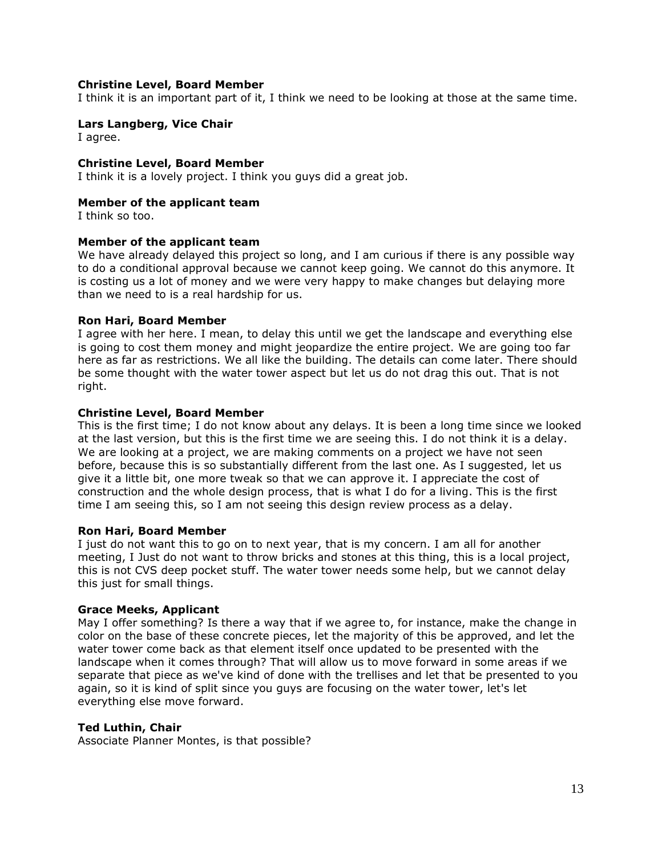## **Christine Level, Board Member**

I think it is an important part of it, I think we need to be looking at those at the same time.

# **Lars Langberg, Vice Chair**

I agree.

### **Christine Level, Board Member**

I think it is a lovely project. I think you guys did a great job.

## **Member of the applicant team**

I think so too.

## **Member of the applicant team**

We have already delayed this project so long, and I am curious if there is any possible way to do a conditional approval because we cannot keep going. We cannot do this anymore. It is costing us a lot of money and we were very happy to make changes but delaying more than we need to is a real hardship for us.

## **Ron Hari, Board Member**

I agree with her here. I mean, to delay this until we get the landscape and everything else is going to cost them money and might jeopardize the entire project. We are going too far here as far as restrictions. We all like the building. The details can come later. There should be some thought with the water tower aspect but let us do not drag this out. That is not right.

## **Christine Level, Board Member**

This is the first time; I do not know about any delays. It is been a long time since we looked at the last version, but this is the first time we are seeing this. I do not think it is a delay. We are looking at a project, we are making comments on a project we have not seen before, because this is so substantially different from the last one. As I suggested, let us give it a little bit, one more tweak so that we can approve it. I appreciate the cost of construction and the whole design process, that is what I do for a living. This is the first time I am seeing this, so I am not seeing this design review process as a delay.

### **Ron Hari, Board Member**

I just do not want this to go on to next year, that is my concern. I am all for another meeting, I Just do not want to throw bricks and stones at this thing, this is a local project, this is not CVS deep pocket stuff. The water tower needs some help, but we cannot delay this just for small things.

### **Grace Meeks, Applicant**

May I offer something? Is there a way that if we agree to, for instance, make the change in color on the base of these concrete pieces, let the majority of this be approved, and let the water tower come back as that element itself once updated to be presented with the landscape when it comes through? That will allow us to move forward in some areas if we separate that piece as we've kind of done with the trellises and let that be presented to you again, so it is kind of split since you guys are focusing on the water tower, let's let everything else move forward.

### **Ted Luthin, Chair**

Associate Planner Montes, is that possible?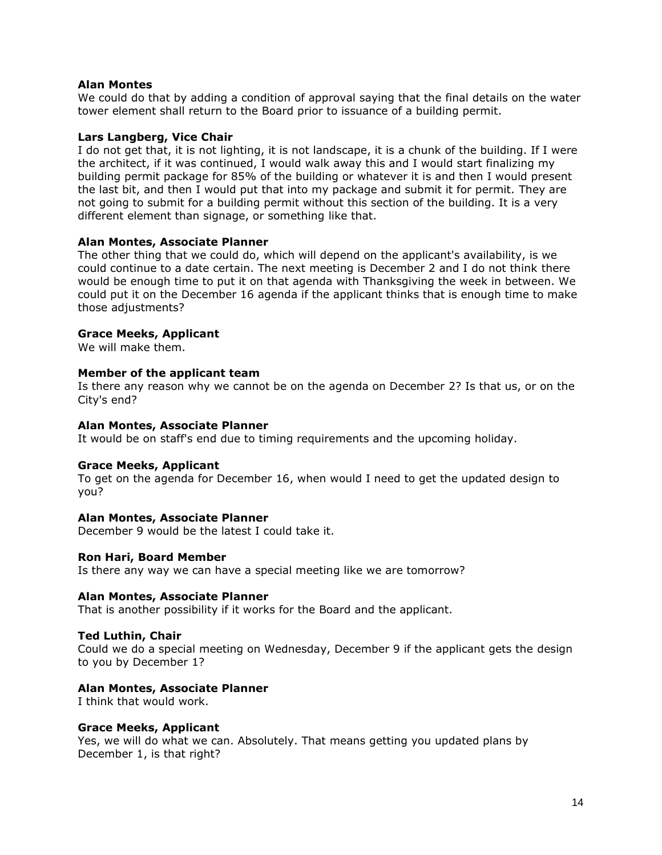# **Alan Montes**

We could do that by adding a condition of approval saying that the final details on the water tower element shall return to the Board prior to issuance of a building permit.

### **Lars Langberg, Vice Chair**

I do not get that, it is not lighting, it is not landscape, it is a chunk of the building. If I were the architect, if it was continued, I would walk away this and I would start finalizing my building permit package for 85% of the building or whatever it is and then I would present the last bit, and then I would put that into my package and submit it for permit. They are not going to submit for a building permit without this section of the building. It is a very different element than signage, or something like that.

## **Alan Montes, Associate Planner**

The other thing that we could do, which will depend on the applicant's availability, is we could continue to a date certain. The next meeting is December 2 and I do not think there would be enough time to put it on that agenda with Thanksgiving the week in between. We could put it on the December 16 agenda if the applicant thinks that is enough time to make those adjustments?

## **Grace Meeks, Applicant**

We will make them.

### **Member of the applicant team**

Is there any reason why we cannot be on the agenda on December 2? Is that us, or on the City's end?

### **Alan Montes, Associate Planner**

It would be on staff's end due to timing requirements and the upcoming holiday.

### **Grace Meeks, Applicant**

To get on the agenda for December 16, when would I need to get the updated design to you?

### **Alan Montes, Associate Planner**

December 9 would be the latest I could take it.

### **Ron Hari, Board Member**

Is there any way we can have a special meeting like we are tomorrow?

### **Alan Montes, Associate Planner**

That is another possibility if it works for the Board and the applicant.

### **Ted Luthin, Chair**

Could we do a special meeting on Wednesday, December 9 if the applicant gets the design to you by December 1?

### **Alan Montes, Associate Planner**

I think that would work.

### **Grace Meeks, Applicant**

Yes, we will do what we can. Absolutely. That means getting you updated plans by December 1, is that right?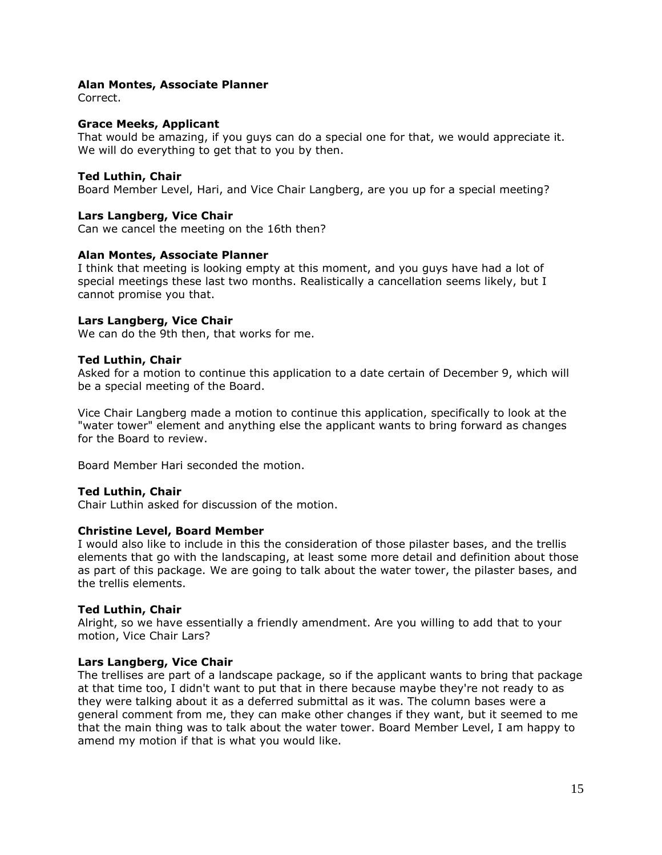## **Alan Montes, Associate Planner**

Correct.

### **Grace Meeks, Applicant**

That would be amazing, if you guys can do a special one for that, we would appreciate it. We will do everything to get that to you by then.

## **Ted Luthin, Chair**

Board Member Level, Hari, and Vice Chair Langberg, are you up for a special meeting?

## **Lars Langberg, Vice Chair**

Can we cancel the meeting on the 16th then?

## **Alan Montes, Associate Planner**

I think that meeting is looking empty at this moment, and you guys have had a lot of special meetings these last two months. Realistically a cancellation seems likely, but I cannot promise you that.

## **Lars Langberg, Vice Chair**

We can do the 9th then, that works for me.

### **Ted Luthin, Chair**

Asked for a motion to continue this application to a date certain of December 9, which will be a special meeting of the Board.

Vice Chair Langberg made a motion to continue this application, specifically to look at the "water tower" element and anything else the applicant wants to bring forward as changes for the Board to review.

Board Member Hari seconded the motion.

### **Ted Luthin, Chair**

Chair Luthin asked for discussion of the motion.

### **Christine Level, Board Member**

I would also like to include in this the consideration of those pilaster bases, and the trellis elements that go with the landscaping, at least some more detail and definition about those as part of this package. We are going to talk about the water tower, the pilaster bases, and the trellis elements.

### **Ted Luthin, Chair**

Alright, so we have essentially a friendly amendment. Are you willing to add that to your motion, Vice Chair Lars?

### **Lars Langberg, Vice Chair**

The trellises are part of a landscape package, so if the applicant wants to bring that package at that time too, I didn't want to put that in there because maybe they're not ready to as they were talking about it as a deferred submittal as it was. The column bases were a general comment from me, they can make other changes if they want, but it seemed to me that the main thing was to talk about the water tower. Board Member Level, I am happy to amend my motion if that is what you would like.